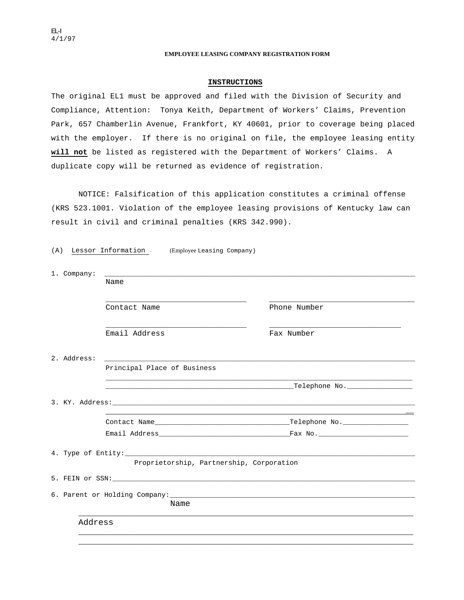## **EMPLOYEE LEASING COMPANY REGISTRATION FORM**

## **INSTRUCTIONS**

The original EL1 must be approved and filed with the Division of Security and Compliance, Attention: Tonya Keith, Department of Workers' Claims, Prevention Park, 657 Chamberlin Avenue, Frankfort, KY 40601, prior to coverage being placed with the employer. If there is no original on file, the employee leasing entity **will not** be listed as registered with the Department of Workers' Claims. A duplicate copy will be returned as evidence of registration.

NOTICE: Falsification of this application constitutes a criminal offense (KRS 523.1001. Violation of the employee leasing provisions of Kentucky law can result in civil and criminal penalties (KRS 342.990).

(A) Lessor Information - (Employee Leasing Company)

| 1. Company: |                                          |                                               |  |  |
|-------------|------------------------------------------|-----------------------------------------------|--|--|
|             | Name                                     |                                               |  |  |
|             | Contact Name                             | Phone Number                                  |  |  |
|             | Email Address                            | Fax Number                                    |  |  |
| 2. Address: |                                          |                                               |  |  |
|             | Principal Place of Business              |                                               |  |  |
|             |                                          |                                               |  |  |
|             |                                          |                                               |  |  |
|             |                                          | <u> 1989 - Jan Salaman Salaman (j. 1989)</u>  |  |  |
|             |                                          | Email Address and the contract of the Fax No. |  |  |
|             |                                          |                                               |  |  |
|             | Proprietorship, Partnership, Corporation |                                               |  |  |
|             |                                          |                                               |  |  |
| Name        |                                          |                                               |  |  |
| Address     |                                          |                                               |  |  |
|             |                                          |                                               |  |  |
|             |                                          |                                               |  |  |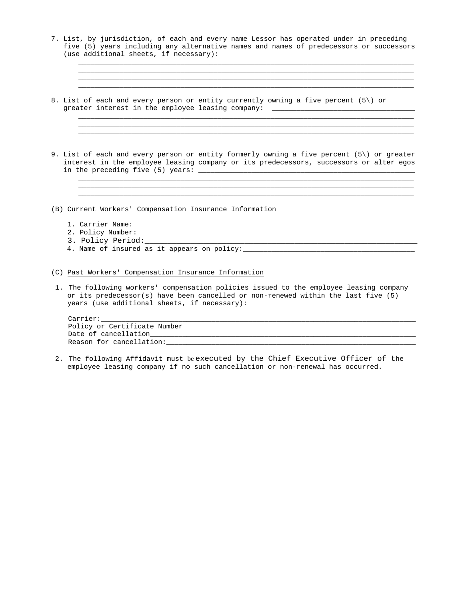7. List, by jurisdiction, of each and every name Lessor has operated under in preceding five (5) years including any alternative names and names of predecessors or successors (use additional sheets, if necessary):

 \_\_\_\_\_\_\_\_\_\_\_\_\_\_\_\_\_\_\_\_\_\_\_\_\_\_\_\_\_\_\_\_\_\_\_\_\_\_\_\_\_\_\_\_\_\_\_\_\_\_\_\_\_\_\_\_\_\_\_\_\_\_\_\_\_\_\_\_\_\_\_\_\_\_\_\_\_\_\_\_\_\_ \_\_\_\_\_\_\_\_\_\_\_\_\_\_\_\_\_\_\_\_\_\_\_\_\_\_\_\_\_\_\_\_\_\_\_\_\_\_\_\_\_\_\_\_\_\_\_\_\_\_\_\_\_\_\_\_\_\_\_\_\_\_\_\_\_\_\_\_\_\_\_\_\_\_\_\_\_\_\_\_\_\_ \_\_\_\_\_\_\_\_\_\_\_\_\_\_\_\_\_\_\_\_\_\_\_\_\_\_\_\_\_\_\_\_\_\_\_\_\_\_\_\_\_\_\_\_\_\_\_\_\_\_\_\_\_\_\_\_\_\_\_\_\_\_\_\_\_\_\_\_\_\_\_\_\_\_\_\_\_\_\_\_\_\_ \_\_\_\_\_\_\_\_\_\_\_\_\_\_\_\_\_\_\_\_\_\_\_\_\_\_\_\_\_\_\_\_\_\_\_\_\_\_\_\_\_\_\_\_\_\_\_\_\_\_\_\_\_\_\_\_\_\_\_\_\_\_\_\_\_\_\_\_\_\_\_\_\_\_\_\_\_\_\_\_\_\_

- 8. List of each and every person or entity currently owning a five percent (5\) or greater interest in the employee leasing company: \_\_\_\_\_\_\_\_\_\_\_\_\_\_\_\_\_\_\_\_\_\_\_\_\_\_\_\_\_\_
- 9. List of each and every person or entity formerly owning a five percent (5\) or greater interest in the employee leasing company or its predecessors, successors or alter egos in the preceding five  $(5)$  years:  $\frac{1}{2}$

\_\_\_\_\_\_\_\_\_\_\_\_\_\_\_\_\_\_\_\_\_\_\_\_\_\_\_\_\_\_\_\_\_\_\_\_\_\_\_\_\_\_\_\_\_\_\_\_\_\_\_\_\_\_\_\_\_\_\_\_\_\_\_\_\_\_\_\_\_\_\_\_\_\_\_\_\_\_\_\_\_\_

\_\_\_\_\_\_\_\_\_\_\_\_\_\_\_\_\_\_\_\_\_\_\_\_\_\_\_\_\_\_\_\_\_\_\_\_\_\_\_\_\_\_\_\_\_\_\_\_\_\_\_\_\_\_\_\_\_\_\_\_\_\_\_\_\_\_\_\_\_\_\_\_\_\_\_\_\_\_\_\_\_\_

\_\_\_\_\_\_\_\_\_\_\_\_\_\_\_\_\_\_\_\_\_\_\_\_\_\_\_\_\_\_\_\_\_\_\_\_\_\_\_\_\_\_\_\_\_\_\_\_\_\_\_\_\_\_\_\_\_\_\_\_\_\_\_\_\_\_\_\_\_\_\_\_\_\_\_\_\_\_\_\_\_\_

 $\mathcal{L}_\text{max} = \frac{1}{2} \frac{1}{2} \frac{1}{2} \frac{1}{2} \frac{1}{2} \frac{1}{2} \frac{1}{2} \frac{1}{2} \frac{1}{2} \frac{1}{2} \frac{1}{2} \frac{1}{2} \frac{1}{2} \frac{1}{2} \frac{1}{2} \frac{1}{2} \frac{1}{2} \frac{1}{2} \frac{1}{2} \frac{1}{2} \frac{1}{2} \frac{1}{2} \frac{1}{2} \frac{1}{2} \frac{1}{2} \frac{1}{2} \frac{1}{2} \frac{1}{2} \frac{1}{2} \frac{1}{$  \_\_\_\_\_\_\_\_\_\_\_\_\_\_\_\_\_\_\_\_\_\_\_\_\_\_\_\_\_\_\_\_\_\_\_\_\_\_\_\_\_\_\_\_\_\_\_\_\_\_\_\_\_\_\_\_\_\_\_\_\_\_\_\_\_\_\_\_\_\_\_\_\_\_\_\_\_\_\_\_\_\_ \_\_\_\_\_\_\_\_\_\_\_\_\_\_\_\_\_\_\_\_\_\_\_\_\_\_\_\_\_\_\_\_\_\_\_\_\_\_\_\_\_\_\_\_\_\_\_\_\_\_\_\_\_\_\_\_\_\_\_\_\_\_\_\_\_\_\_\_\_\_\_\_\_\_\_\_\_\_\_\_\_\_

(B) Current Workers' Compensation Insurance Information

- 1. Carrier Name:\_\_\_\_\_\_\_\_\_\_\_\_\_\_\_\_\_\_\_\_\_\_\_\_\_\_\_\_\_\_\_\_\_\_\_\_\_\_\_\_\_\_\_\_\_\_\_\_\_\_\_\_\_\_\_\_\_\_\_\_\_\_\_\_\_\_\_\_\_
- 2. Policy Number:\_\_\_\_\_\_\_\_\_\_\_\_\_\_\_\_\_\_\_\_\_\_\_\_\_\_\_\_\_\_\_\_\_\_\_\_\_\_\_\_\_\_\_\_\_\_\_\_\_\_\_\_\_\_\_\_\_\_\_\_\_\_\_\_\_\_\_\_
	- 3. Policy Period:\_\_\_\_\_\_\_\_\_\_\_\_\_\_\_\_\_\_\_\_\_\_\_\_\_\_\_\_\_\_\_\_\_\_\_\_\_\_\_\_\_\_\_\_\_\_\_\_\_\_\_\_\_\_\_\_\_\_\_\_
	- 4. Name of insured as it appears on policy:\_\_\_\_\_\_\_\_\_\_\_\_\_\_\_\_\_\_\_\_\_\_\_\_\_\_\_\_\_\_\_\_\_\_\_\_\_\_\_\_\_\_

(C) Past Workers' Compensation Insurance Information

1. The following workers' compensation policies issued to the employee leasing company or its predecessor(s) have been cancelled or non-renewed within the last five (5) years (use additional sheets, if necessary):

\_\_\_\_\_\_\_\_\_\_\_\_\_\_\_\_\_\_\_\_\_\_\_\_\_\_\_\_\_\_\_\_\_\_\_\_\_\_\_\_\_\_\_\_\_\_\_\_\_\_\_\_\_\_\_\_\_\_\_\_\_\_\_\_\_\_\_\_\_\_\_\_\_\_\_\_\_\_\_\_\_\_

| Carrier:                     |  |  |  |
|------------------------------|--|--|--|
| Policy or Certificate Number |  |  |  |
| Date of cancellation         |  |  |  |
| Reason for cancellation:     |  |  |  |

2. The following Affidavit must be executed by the Chief Executive Officer of the employee leasing company if no such cancellation or non-renewal has occurred.